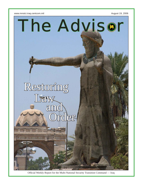



Official Weekly Report for the Multi-National Security Transition Command — Iraq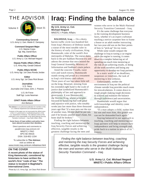### THE ADVISOR



**Commanding General** U.S. Army Lt. Gen. Martin E. Dempsey

> **Command Sergeant Major** U.S. Marine Corps Sgt. Maj. Daniel Burs

**Public Affairs Officer** U.S. Army Lt. Col. Michael Negard

**Deputy Public Affairs Officer** U.S. Army Maj. Gerald Ostlund

**Public Affairs NCOIC** U.S. Army Sgt. 1st Class Ronda Jordan

**Editor** U.S. Army Sgt. 1st Class Rick Brown

**Journalists** U.S. Navy Journalist 2nd Class John J. Pistone

> U.S. Air Force Staff Sgt. Lucia Newman

**CPATT Public Affairs Offi cer** Ann Bertucci

**The Advisor** is an authorized publication for members of the U.S. Defense Department and multinational partners.

*Contents of this paper are not necessarily the offi cial views of the U.S. government or multinational partners of the U.S. Department of Defense. The editorial content of this publication is the responsibility of the Multi-National Security*  **Transition Command — Iraq Public Affairs Office.** 

**Some faces of Iraqi soldiers and police have been altered to protect their identities.**

Direct questions and comments to: pao@mnstci.iraq.centcom.mil MNSTC-I PAO APO AE 09316 DSN: 318-852-1334

To subscribe to **The Advisor**, visit us online at: www.mnstci.iraq.centcom.mil/advisor.html

### **ON THE COVER**

**A recent photo of the statue of King Hammurabi, considered by historians to have written the world's fi rst "code of law." The statue is located in Baghdad's International Zone.**

Photo by U.S. Army Sgt. 1st Class Rick Brown

# **Iraq: Finding the balance**

**By U.S. Army Lt. Col. Michael Negard** MNSTC-I Public Affairs

**BAGHDAD, Iraq** — On a dusty, barren traffic circle two-hundred feet from Iraq's Ministry of Defense stands a statue of the most notable ruler in the history of early civilizations, King Hammurabi, ruler of the world's first metropolis of Babylon. The statue dates back to the pre-Saddam Hussein era and adorns the avenue that once hosted the Iraqi General Assembly, Ministry of Information and Saddam's main palace.

Amid the concrete T-walls, razor wire and watch towers, Hummurabi stands strong and proud as a testament to Iraq's rich history and culture. Three years of war has taken little toll on the king. However, missing from his extended right hand is the scale of justice that symbolized Hummurabi's philosophy of law and approach to governance. It was Hummurabi, the Warrior King, whose principles focused on balancing bad with good and injustice with justice, who notably wrote into law more than three thousand years ago that "if a man puts out the eye of another man, his eye shall be put out, and if he breaks another man's bone, his bone shall be broken."

Finding the right balance between teaching, coaching and mentoring the Iraq Security Forces and achieving effective, tangible results is the greatest challenge facing the men and women who serve in the Multi-National Security Transition Command – Iraq.

It's the same challenge that everyone in the training development business faces, whether it's an expert craftsman teaching a novice carpenter how to frame a house or an adult mother instructing her two-year-old son on the finer points of how to "pick-up" his toy room.

While some would compare the challenge in Iraq to tuning a car engine while the engine is running, it comes down to a complex balancing act of spending too much time mentoring at the risk of not achieving results, or doing all the work ourselves and losing any opportunity to develop our Iraqi partners.

In a static world of no deadlines, suspenses or timelines, the task of mentoring is less arduous.

Unfortunately, neither the environment in Iraq nor the political climate outside Iraq provides much room for miscalculations. It comes down to tough people making tough decisions to achieve and maintain the balance through turbulence and uncertainties.

Hammurabi would argue that with knowledge and identity come independence.

"If a man adopts a child, names him his son and rears him, this grown son can not be demanded back again."

Staying balanced in our approach to teaching, coaching and mentoring our Iraqi partners will help to ensure their independence and bring strength and pride back to a nation in search of its history.

*Finding the right balance between teaching, coaching and mentoring the Iraq Security Forces and achieving effective, tangible results is the greatest challenge facing the men and women who serve in the Multi-National Security Transition Command – Iraq.*

> **U.S. Army Lt. Col. Michael Negard MNSTC-I Public Affairs Officer**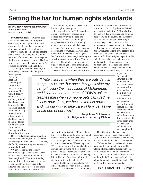## **Setting the bar for human rights standards**

#### **By U.S. Navy Journalist 2nd Class John J. Pistone** MNSTC-I Public Affairs

**BAGHDAD, Iraq** — Over the past year there have been a lot of reports concerning human rights in Iraq, and more specifically, on the treatment of detainees in facilities throughout the country. It seems to some in Iraq that the media reports are rarely positive on the issue and often times they cast a negative shadow over the country's army. The Iraqi Ministry of Defense Inspector General's office is determined to change that.

An example is the 3rd Brigade, 6th Iraqi Army Division and its Brigade

Interrogation Facility in Baghdad. Located just a few miles from the now infamous Abu Ghraib facility the BIF is currently one of the cleanest and best run MOD detainee holding facilities in Iraq. According to advisors within the IG office, it is the model for which the other facilities are looking to follow throughout the country.

Dr. Kevin P. Kavanaugh, a Coalition human rights mentor, said that when the IG investigators first arrived on the scene, the facility was operating at a severely substandard level.

"When we visited the facility seven months ago, the detainees were in restraints almost 24 hours a day," Kavanaugh said. "The only time they were not blindfolded was to eat, shower or use the latrine. They were only allowed one shower a week, and there was only one latrine for 240 inmates.

This is not what you want to see as a human rights investigator."

In Iraq, unlike in the U.S., a detainee does not get formally charged until a judge has reviewed his case and determined whether he should go to trial, be released or if there is enough evidence against him to be held as a prisoner. There are time restrictions, but, according to Kavanaugh, they are very difficult to implement at this stage in Iraq's transition. Kavanuagh said they are working toward establishing a 72-hour charge, hold and release policy, but the biggest challenge has been getting judges to the facilities, due to safety concerns.

He said the Inspector General's office

one of the country's principal "rule of law" institutions. He said they have established a network with all of Iraq's 31 ministries to work together in establishing a common rule of law for the country. The IG's office also has their own separate Ministry of Human Rights, which focuses on the treatment of detainees, among other issues.

Iraqi Army Lt. Col. Ahmed, one of the IG's Human Rights investigators, said they use the Geneva Conventions as a standard for human rights inspections. He said detainees have the right to shower daily, get decent food and water and to not be abused. He said he had seen some of these basic rights denied to the detainees at the BIF during two previous

*"I hate insurgents when they are outside this camp, this is true, but once they get inside my camp I follow the instructions of Mohammed and Islam on the treatment of POW's. Islam teaches that when someone gets captured he is now powerless, we have taken his power and it is our duty to take care of him just as we would one of our own."*

> **Iraqi Army Col. Naseem 3rd Brigade, 6th Iraqi Army Division**

inspections. Kavanuagh admitted that he, Ahmed and his team were nervous about returning to the facility for their third visit. "We were a

little nervous as we headed out for our third visit because there had already been two harsh critiques and if there were a third one, it would be the death knell for the brigade and the facility," Kavanaugh said.

wrote prior reports on the BIF and when they returned two months later, they found that very little action had been taken.

"The Brigade had taken limited action to resolve these issues," Kavanaugh said. "The inmates were able to stand and move around and we found no clear signs of physical abuse. There were certainly signs of mental abuse and anguish due to being blindfolded all of the time and in such tight proximity with each other."

According to Dr. Kavanaugh, the IG's office, with the exception of two Coalition advisors, is entirely operated by Iraqis and is

He said that what he found were remarkable improvements thanks to the joint efforts of the new brigade commander, the MiTT advisor and the IG investigators.

"When we found out there was a new commander, we thought we would be starting from scratch," Kavanaugh said, "but we found out that this commander has a clear strategic vision for his brigade and for the BIF. He is engaged and cares about human rights and it has made a 180 degree difference in the facility."

### **See HUMAN RIGHTS, Page 5**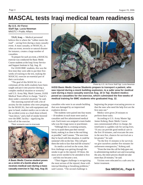## **MASCAL tests Iraqi medical team readiness**

### **By U.S. Air Force Staff Sgt. Lucia Newman** MNSTC-I Public Affairs

**TAJI, Iraq** — Medical personnel believe this is where the "rubber meets the road" – saving lives during a mass casualty event. A mass casualty, or MASCAL, is when an event, terrorist or natural disaster for instance, creates a large number of casualties.

To prepare for such an event, a MASCAL exercise was conducted for Basic Medic Course students at the Iraqi Army Service and Support Institute in Taji, Aug. 10.

For IASSI BMC students, this was the first time they were able to put their fiveweeks of training to the test, making the MASCAL exercise an essential part of their curriculum.

"The goal of this MASCAL is to culminate all the skills students have been taught and put it into practice during a complex medical situation or scenario," said U.S. Army Maj. Mark Cannon, IASSI Medical Team officer in charge. "And it's done under a stressful situation," he said.

The morning started off with a bit of anxiety for the students who were prepping for the MASCAL; but with equipment and gear in hand, student medics ran to take on the accident scene as a loud shout echoed, "man down," and a ball of smoke hovered over the BMC facility – signifying the kick-off of the exercise.

Their scenario was to evacuate



**A Basic Medic Course student poses as a victim of a bomb attack and receives medical care during a mass casualty exercise in Taji, Iraq, Aug 10.**



Photo by U.S. Air Force Staff Sgt. Lucia Newman

**IASSI Basic Medic Course Students prepare to transport a patient, who was injured during a mock building explosion, to a safer area for medical care during a mass casualty exercise Aug. 10 in Taji. Student medics posed as casualties for the exercise, which culminated the fi ve-weeks of medical training for BMC students who graduated Aug. 12.** 

casualties who were in an unsafe building that was damaged by an improvised explosive device.

The students were paired into four teams – 10 students in each team were used as casualties and five administered medical care. Each team was assigned a team leader who was the triage nurse or practitioner.

"Although this is a training scenario, we try to push them past their normal limits, making it as close to the real thing as possible," said Cannon. "The next time they're faced with this situation, it could be someone's life on the line. This will give them the tools to face that real-life scenario."

As medics arrived on the scene, their first challenge was getting through the smoke to get to the injured. Of these, the most severe needed to be attended to first – and this too became a test.

"Their biggest challenge is recognizing the most serious of the injured, those with internal bleeding or breathing problems," said Cannon. "The second challenge is

beginning the proper evacuating process so that the ones who need the help first are the first ones out."

Medics were given 20 minutes to perform those tasks.

According to U.S. Army Master Sgt. James Koberg, Basic Medic Course non-commissioned officer in charge, the timeframe is a golden rule for saving lives. "If you can provide good medical care in the first 10 minutes, and evacuate the area in the next five, chances for survival are a lot greater," he said.

"So the first 15 minutes is for survival, we give ourselves another five minutes for unforeseen emergencies," Koberg said.

"From the time the call for help goes out, to administering medical care and evacuating the area, the entire process should not take more than 20 minutes," he said.

Victims were relocated to a safe area for better treatment.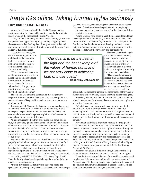## **Iraq's IG's office: Taking human rights seriously**

### **From HUMAN RIGHTS, Page 3**

Ahmed and Kavanaugh said that the BIF has passed the most stringent of the Geneva Conventions standards, which is incorporated in the most recent Fourth Protocol.

"They still have too many detainees for the facility, (it was only designed to hold approximately 160), but they are giving them showers twice a day, feeding them three good meals a day and providing them with better facilities than some of their own (Iraqi soldiers)," Kavanaugh said.

According to Ahmed, the

old BIF was simply razor wire and therefore the detainees had to be restrained almost 24 hours a day, but the new commander changed that almost immediately.

"The commander used one of his own soldier barracks to house the detainees because he thought they deserved clean, decent facilities," Ahmed said. "He put in air conditioning and made sure they had clean bathrooms."

He said this was amazing considering that the primary responsibilities of these brigades are to capture insurgents and secure this area of Baghdad for its citizens – not to maintain a detainee facility.

Iraqi Army Col. Nassem, the brigade commander, has served in the army for more than 20 years with the majority of that time spent in special operations. He took over as the brigade commander three months ago and explained why he cares so much about the treatment of detainees.

"I hate insurgents when they are outside this camp, this is true, but once they get inside my camp I follow the instructions of Mohammed and Islam on the treatment of POW's," Nasseem said with the help of a translator. "Islam teaches that when someone gets captured he is now powerless, we have taken his power and it is our duty to take care of him just as we would one of our own."

Nassem said that he makes sure his soldiers treat the detainees properly and with human dignity. "We serve them the same food we serve our soldiers, we allow them to practice their religion based on their beliefs, our brigade doctor visits with them regularly and provides them with medication, and we are one of the first camps to open the facility to family visits," Nasseem said.

According to MiTT- BIF Advisor, U.S. Army Capt. David Pate, the family visits have helped change the way Iraqis in the area treat the Iraqi soldiers.

"Before they opened the family visits, there had been a bad (perception) of the Iraqi Army and their conduct toward those who get detained," Pate said, but after we opened the visits we have noticed that some of the citizens have changed their minds completely."

Nasseem agreed and said that some families had a hard time recognizing their sons.

"Some families have come to visit their sons and found them in such good condition that they did not recognize them; they said their sons had become fat," Nasseem said. "This particular family saw first hand that we are following the law in respect to treating people humanely and they became convinced of the differences between the new army and the terrorists."

> Nasseem said this change in the public's view of the army means they are now more receptive to turning terrorists in. He said this is only part of the overall plan to stop the violence in Iraq but it is a vitally important one nonetheless.

"Having good relations with citizens is not the only measure of success in this area, we have to secure the area first, then we can show that we treat all with respect," Nasseem said. "Our

goal is to be the best in the fight and the best example of the values of human rights and we are very close to achieving both of those goals."

Nasseem, Ahmed, Kavanaugh and Pate all say the beliefs of ethical treatment of detainees and concerns for human rights are spreading throughout Iraq.

"We still have some issues with accountability due to the security situations but things are changing for the better, Kavanaugh said. "The Defense Minister is taking human rights violations very seriously and is not afraid to make an example of anyone, and the Iraqi Army is holding commanders accountable as well."

Kavanaugh said this is important because the Iraqi people need to be able to trust the Iraqi army as an institution. He said the next steps are continued human rights education throughout the services, command emphasis, more policy and regulations followed closely by enforcement mechanisms to maintain a high standard of accountability and responsibility across the MOD. He said they are finalizing the Iraqi equivalent to the U.S. military's Uniformed Code of Military Justice, which will give impetus to holding everyone accountable in the Iraqi Army, Navy and Air Forces.

Nasseem said given a little more time, he believes the Iraqi Army will be the forerunners when it comes to human rights.

"I ask the Americans and the rest of the world to be patient with us, give us a little more time and we will rise to the standard," Nasseem said. "To the Iraqi people I say be patient with us as well. The price of democracy and freedom is a lot of sacrifice, but the good solutions are coming soon, so please be patient."

*"Our goal is to be the best in the fi ght and the best example of the values of human rights and we are very close to achieving both of those goals."*  **Iraqi Army Col. Naseem**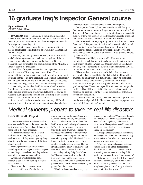## **16 graduate Iraq's Inspector General course**

#### **By Ann Bertucci** CPATT Public Affairs

**BAGHDAD**, **Iraq** — Upholding a commitment to combat and eliminate corruption from its police forces, Iraq's Ministry of Interior graduated 16 students from the first Inspector General's Investigation course Aug. 10.

The graduates were honored in a ceremony held in the newly constructed High Institute of Training at the Baghdad Police College.

The event, attended by several Ministry of Interior officials and Coalition representatives, included recognition of the class valedictorian, a keynote address by the Inspector General, presentation of certificates, and administration of the Ministry of Interior oath to all graduates.

The Office of Inspector General is an independent, objective function in the MOI serving the citizens of Iraq. Their responsibility is to investigate charges of corruption, fraud, waste, abuse and other complaints regarding MOI officials. Additionally, the unit conducts audits and evaluations to review effectiveness, efficiency and integrity of all MOI personnel and operations.

Since being appointed as the IG in January 2006, Akeel Al Taraihi, who possesses a university law degree, has worked to make the IG's office more effective and efficient. He started by weeding out unqualified personnel and instituting a new training course as a requirement for all investigators.

In his remarks to those attending the ceremony, Al Taraihi, confirmed his dedication to fighting corruption and emphasized the importance of the work facing the new investigators.

"As Inspector General, I am determined to establish a good foundation for a new culture in Iraq – one without corruption," Al Taraihi said. "We cannot expect corruption to disappear overnight, but new criteria has been set for the Inspector General's office and this training course is an important step in that process."

The three-week course, taught by international police trainers from the U.S. Department of Justice and International Criminal Investigative Training Assistance Program, is designed to introduce the basic concepts of investigation and provide the skills needed to conduct the wide array of investigations handled by the IG's office.

"This course will help bring the IG's office to a higher investigative capability and ultimately a more efficient running of the Ministry of Interior," said U.S. Marine Corps Lt. Col. Kevan Kvenlog, senior advisor to the IG's office and member of MNSTC-I's Civilian Police Assistance Training Team.

"These students came in with tools. What this course did was provide them with additional tools for their tool box with an emphasis on using them in a democratic society," he concluded.

Three females, who previously completed the 10-week Basic Police Training Course in Baghdad, were included in this graduating class. The women, aged  $28 - 30$ , have been assigned to the IG's Office of Human Rights. One female, who requested her name not be used for security reasons, expressed her enthusiasm for her new assignment.

"I love my work and am very excited to have the opportunity to use the knowledge and skills I have been taught to help protect the rights of all Iraq's citizens," she said.

### *Medical students prepare to take-on real-life disasters*

### **From MEDICAL, Page 4**

Triage officers determined what level of care was needed based on the severity of the patient's wounds. This is when, Koberg said, teamwork is the most important.

"The communication within the team took a while to build, but quickly, they realized without it they weren't getting things done the way the team leader needed things done," he said.

Medics performed various treatments including administering IV's and tourniquets to attending to second and third degree burns on students who posed as casualties.

Although a few students had some medical experience, the training, they said, was invaluable.

"I came into the course with some experience, but I know it's helped me to improve on other skills," said Abed, who works as an Iraqi military police medic. Abed said when his unit heard about the BMC, they immediately signed up several MP medics for the course to improve their skills. "And it was well worth it," he expressed with the help of an interpreter.

"They taught one important thing, to save a lot by using little," Abed said. "I now know how to stop hemorrhages, calm and comfort patients who are in pain. They've strengthened our ability to save lives, and now we're more confident that we can."

According to Iraqi Brig. Gen. Wared, IASSI commander, student medics, after their graduation, will be embedded into various Iraqi Army units to care for military patients and to spread the knowledge they've gained from the course,.

"Coalition forces have had a very big

impact on our students," Wared said through an interpreter. "They've kept the training standards at a high level, and in return, when our soldiers go into the field, they will perform at that high level and be strong to carry out the mission."

Although the student medics faced many challenges and made a few mistakes during the exercise, both students and instructors agreed it was an overall success.

"They were very enthusiastic, but stress caused them to be a little disorganized, but that's expected," said Cannon. "This is a learning environment, and if they did it perfectly, our scenario wasn't tough enough."

"I started this class with little (experience) and now I have much," said Abed. "I'm not scared to face any challenges in the field, they've taught me a lot of things so there is no room for fear in my heart."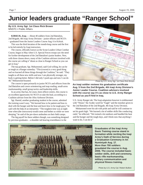# **Junior leaders graduate "Ranger School"**

#### **By U.S. Army Sgt. 1st Class Rick Brown** MNSTC-I Public Affairs

**KIRKUK, Iraq** — About 40 soldiers from 2nd Battalion, 2nd Brigade, 4th Iraqi Army Division – junior officers and NCO's – graduated from the Junior Leaders Course Aug. 6 in Kirkuk.

This was the third iteration of the month-long course and the first to be led entirely by Iraqi instructors.

The course, officially known as the Scout Leaders Urban Combat Course, began in May when U.S. Special Forces troops saw the need for further development of the 2nd Battalion's junior leaders. Now, with three classes down, many of the Coalition advisors involved with the course are calling it "about as close to Ranger School as you can get in Iraq."

The top graduate, Sgt. Mohammed, said God willing, he can be as tough as a Ranger someday. "This (course) is a very good thing and we learned all these things through the Coalition," he said. "They taught us all these new skills and now I am physically stronger, my body is getting better. Before I did only 5 push-ups and now I can do 40," Mohammed boasted.

The course is open primarily to junior NCO's and officers from the 2nd Battalion and covers orienteering and map reading, small-arms marksmanship, small group tactics and leadership skills.

In an army that has, for years, been officer-centric, this course is an excellent opportunity for NCO's to take the lead, according to a Coalition advisor from the 101st Airborne Division.

Sgt. Hamid, another graduating student in the course, admitted the training wasn't easy. "We learned how to be patient and how to deal with the hunger and the heat and learn how to be tough guys," he said with the help of an interpreter. "The toughest time was at night time when (the instructors) would come and bother us while we were sleeping," he said of the pre-dawn ambushes on their field camps.

The big payoff for these soldiers though, was something designed by previous graduates – a shoulder tab bearing resemblance to the



Photo by U.S. Army Sgt. 1st Class Rick Brown

**An Iraqi soldier reviews his graduation certifi cate Aug. 5 from the 2nd Brigade, 4th Iraqi Army Division's Junior Leader Course. Coalition advisors involved with the course say it's as close to U.S. Army Ranger School as you'll find in Iraq.** 

U.S. Army Ranger tab. The Iraqi adaptation however is emblazoned with "Nisser," the Arabic word for "Eagle" and the moniker given to the 2nd Battalion of the 2nd Brigade, 4th Iraqi Army Division.

Mohammed wore his tab with pride and said he will continue to set his goals high. "We learned a lot of soldier skills like conducting raids," he reflected. "We trained a lot outdoors and handled the heat and the hunger and the tough days, and I think now that anything I want to do, I can do it."



**Grauduates of the Iraqi Army Basic Training course stand in formation while reciting the Iraqi Army's Oath of Service during a Graduation Ceremony in An Numiniyah Aug. 17. More than 700 soldiers graudated the course in Aug. 2006. The course included basic soldier skills, drill and ceremony, basic rifle marksmanship, military communication and physical fi tness training.** 

Photo by U.S. Army Cpl. Robert Bullion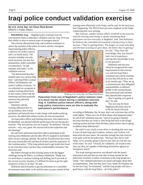# **Iraqi police conduct validation exercise**

#### **By U.S. Army Sgt. 1st Class Rick Brown** MNSTC-I Public Affairs

**BAGHDAD, Iraq** — Baghdad police stationed near the international airport conducted a validation exercise Aug. 10 to test their ability to react to several types of insurgent attacks.

The exercise allowed both Iraqi and Coalition evaluators to assess the reactions of the police to mortar attacks, insurgents

impersonating police officers, a takeover of a police armory and a car bomb attack. The scenario included, not only mock terrorists, but also live ammunition, under controlled circumstances, "to add intensity and reality" to the validation exercise.

"We determined that they needed some very serious help here," said Iraqi Police Liaison Officer Tad Robinette, the senior Coalition evaluator, "so we embarked on a program to conduct training about three or four times a week with the leadership and then gradually moved to the mid-level supervision."

Robinette said the training addressed how to set up cordons, how to lead training more effectively to the Iraqis, and he said, for the most part, that's happening. The IPLO's have put more emphasis on the Iraqis

Ben Jackson, another liaison officer involved in the exercise, said the training and testing is clearly something these policemen can face everyday in Baghdad. And, like Robinette, he believes the controlled environment training is key to their success. "They're getting better. The longer we work with them and the more training we give them, the better they're getting,"

he said. "They have the knowledge, they just haven't had a lot of experience putting that knowledge to use on the ground."

Robinette said one area where he recognized the most improvement in this exercise was with the Iraqi Police command and control situation, an area they did not do as well in six months ago. "They set up a command post, they delegated responsibilities to different people in the command post, they prioritized well and then they planned their responses

… they're getting very good at this," he said.

The next step for these Baghdad policemen may be to hit the streets full-time

**to a mock mortar attack during a validation exercise Aug. 9. Coalition police liaison offi cers, along with Iraqi police instructors were on site to evaluate the policemen's performance.**

**Policemen from one of Baghdad's police stations react** 

patrolmen and basically how to take charge with modern policing practices. He added that military tactics are also incorporated.

An Iraqi police officer and training instructor, who asked not to be identified, was pleased with the performance he saw during this exercise. "The last exercise was not so good," he admitted, "but this exercise – very, very good. We reacted well to the explosions and the shooting."

He said more policemen have been able to participate in the training since Robinette and the other IPLO's stepped in and helped them set up a training calendar. He said the 35 policemen that tested this time around did well and that all of them need the experience of the Coalition police. "(The Iraqi police) need to get inside their head to see what they know and how they would handle a situation," the instructor said.

But follow-through on this training seems to be the biggest challenge facing the Police, according to Robinette. "Right now we need them to continue training and drilling, but if you look at the current security situation, it's difficult for them to get the right manpower in here to do that," he said.

Robinette said he'd prefer to get the policemen in a controlled environment more often, so he and his team can pass control of that according to Robinette, but, he says, that's not a decision that will be made lightly. "There are a lot of ideas about what happened today," he said of the validation exercise, "and we're going to identify the areas that they are weak in, then bring that back to the (Iraqi) training section and have them develop a plan on how they're going to address those deficiencies."

He said it's very much a team effort in deciding that next step. A team of both Iraqi and Coalition, military and civilian, will determine the next move. He concedes though that this exercise went quite well for the policemen. "Because they did so well today, we're actually going to discuss this later on with the rest of the team," he said. "Overall, for validation, we would at this time say they are capable of defending themselves against an insurgency attack."

The Iraqi training instructor was pleased with the team's assessment and said that not only does it boost morale for the policemen involved, it makes a statement to the Iraqi people as a whole. "The validated policemen are proud and happy about their accomplishment. They feel they have won a battle for freedom and for the new Iraq," he exclaimed, "and the Iraqi people will have a good future with the Iraqi Police – all of the police."

Photo by U.S. Army Sgt. 1st Class Rick Brown

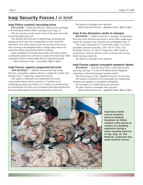### **Iraqi Security Forces /** in brief

### **Iraqi Police conduct recruiting drive**

**FALLUJAH** — More than 950 new Iraqi recruits will begin a 10-week Basic Police Officer training course Aug. 21.

The new recruits are the result of one of the most successful recruiting efforts this year.

The monthly drive focuses on identifying, screening and signing up local men from communities in and around the Euphrates river valley. Many of the new recruits will receive their training at the Baghdad Police College while others will attend the Jordan International Police Academy.

Upon completion of training, the recruits will return to their communities where they will serve as some of the more than 7,000 Iraqi police officers trained under the new Iraqi government.

 $-$  *Multi-National Corps – Iraq Public Affairs Office* 

### **Iraqi Forces capture suspected terrorist**

**ASH SHARQAT** — Soldiers from the 4th Iraqi Army Division, assisted by coalition advisers, conducted a raid in Ash Sharqat Aug. 17 capturing a suspected terrorist.

The suspect is believed to be responsible for several improvised explosive device attacks on Coalition forces, including one attack that killed a U.S. soldier. It is believed that his involvement in fraud, local corruption and embezzlement has been providing support to terrorist operations in the area.

No injuries or damages were reported

 $-$  *Multi-National Division – Baghdad Public Affairs Office* 

### **Iraqi Army discovers cache in mosque**

**BAGHDAD** — Soldiers from the 1st Brigade, 1st Battalion, 6th Iraqi Army Division uncovered a cache while conducting a search of a mosque in the Ghazalia area of Baghdad Aug. 17.

The cache consisted of 27 hand held radios, 10 rocket propelled grenade launchers, nine AK-47 rifles, five Katushka rockets, 47 AK-47 magazines, 800 rounds of ammunition, several military style uniforms and various bomb making materials.

No injuries or damages were reported.

### **Iraqi Forces capture insurgent weapons dealer**

**BAGHDAD** — Iraqi Security Forces conducted an earlymorning raid Aug. 17 in the Al Rasheed district Baghdad, capturing a suspected insurgent weapons dealer.

The raid was part of the 'Together Forward' security plan. The suspect is believed to be responsible for transporting weapons and supplies to insurgents in Baghdad.

One insurgent was killed during the operation.

No other injuries or damages were reported.

*— Multi-National Division – Baghdad Public Affairs Offi ce*



**Iraqi basic medic course students perform medical treatment on fellow students who posed as victims of a building explosion during a mass casualty exercise in Taji, Aug. 10. The MASCAL ended the fiveweek medical course.** 

Photo by U.S. Air Force Staff Sgt. Lucia Newman